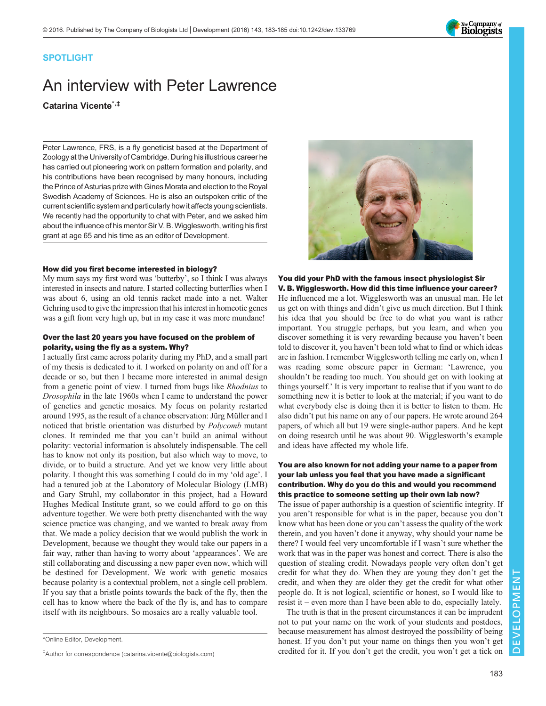

#### SPOTLIGHT

# An interview with Peter Lawrence Catarina Vicente\*,‡

Peter Lawrence, FRS, is a fly geneticist based at the Department of Zoology at the University of Cambridge. During his illustrious career he has carried out pioneering work on pattern formation and polarity, and his contributions have been recognised by many honours, including the Prince of Asturias prize with Gines Morata and election to the Royal Swedish Academy of Sciences. He is also an outspoken critic of the current scientific system and particularly how it affects young scientists. We recently had the opportunity to chat with Peter, and we asked him about the influence of his mentor Sir V. B. Wigglesworth, writing his first grant at age 65 and his time as an editor of Development.

#### How did you first become interested in biology?

My mum says my first word was 'butterby', so I think I was always interested in insects and nature. I started collecting butterflies when I was about 6, using an old tennis racket made into a net. Walter Gehring used to give the impression that his interest in homeotic genes was a gift from very high up, but in my case it was more mundane!

#### Over the last 20 years you have focused on the problem of polarity, using the fly as a system. Why?

I actually first came across polarity during my PhD, and a small part of my thesis is dedicated to it. I worked on polarity on and off for a decade or so, but then I became more interested in animal design from a genetic point of view. I turned from bugs like Rhodnius to Drosophila in the late 1960s when I came to understand the power of genetics and genetic mosaics. My focus on polarity restarted around 1995, as the result of a chance observation: Jürg Müller and I noticed that bristle orientation was disturbed by Polycomb mutant clones. It reminded me that you can't build an animal without polarity: vectorial information is absolutely indispensable. The cell has to know not only its position, but also which way to move, to divide, or to build a structure. And yet we know very little about polarity. I thought this was something I could do in my 'old age'. I had a tenured job at the Laboratory of Molecular Biology (LMB) and Gary Struhl, my collaborator in this project, had a Howard Hughes Medical Institute grant, so we could afford to go on this adventure together. We were both pretty disenchanted with the way science practice was changing, and we wanted to break away from that. We made a policy decision that we would publish the work in Development, because we thought they would take our papers in a fair way, rather than having to worry about 'appearances'. We are still collaborating and discussing a new paper even now, which will be destined for Development. We work with genetic mosaics because polarity is a contextual problem, not a single cell problem. If you say that a bristle points towards the back of the fly, then the cell has to know where the back of the fly is, and has to compare itself with its neighbours. So mosaics are a really valuable tool.



You did your PhD with the famous insect physiologist Sir V. B. Wigglesworth. How did this time influence your career?

He influenced me a lot. Wigglesworth was an unusual man. He let us get on with things and didn't give us much direction. But I think his idea that you should be free to do what you want is rather important. You struggle perhaps, but you learn, and when you discover something it is very rewarding because you haven't been told to discover it, you haven't been told what to find or which ideas are in fashion. I remember Wigglesworth telling me early on, when I was reading some obscure paper in German: 'Lawrence, you shouldn't be reading too much. You should get on with looking at things yourself.' It is very important to realise that if you want to do something new it is better to look at the material; if you want to do what everybody else is doing then it is better to listen to them. He also didn't put his name on any of our papers. He wrote around 264 papers, of which all but 19 were single-author papers. And he kept on doing research until he was about 90. Wigglesworth's example and ideas have affected my whole life.

#### You are also known for not adding your name to a paper from your lab unless you feel that you have made a significant contribution. Why do you do this and would you recommend this practice to someone setting up their own lab now?

The issue of paper authorship is a question of scientific integrity. If you aren't responsible for what is in the paper, because you don't know what has been done or you can't assess the quality of the work therein, and you haven't done it anyway, why should your name be there? I would feel very uncomfortable if I wasn't sure whether the work that was in the paper was honest and correct. There is also the question of stealing credit. Nowadays people very often don't get credit for what they do. When they are young they don't get the credit, and when they are older they get the credit for what other people do. It is not logical, scientific or honest, so I would like to resist it – even more than I have been able to do, especially lately.

The truth is that in the present circumstances it can be imprudent not to put your name on the work of your students and postdocs, because measurement has almost destroyed the possibility of being honest. If you don't put your name on things then you won't get credited for it. If you don't get the credit, you won't get a tick on

<sup>\*</sup>Online Editor, Development.

<sup>‡</sup> Author for correspondence ([catarina.vicente@biologists.com](mailto:catarina.vicente@biologists.com))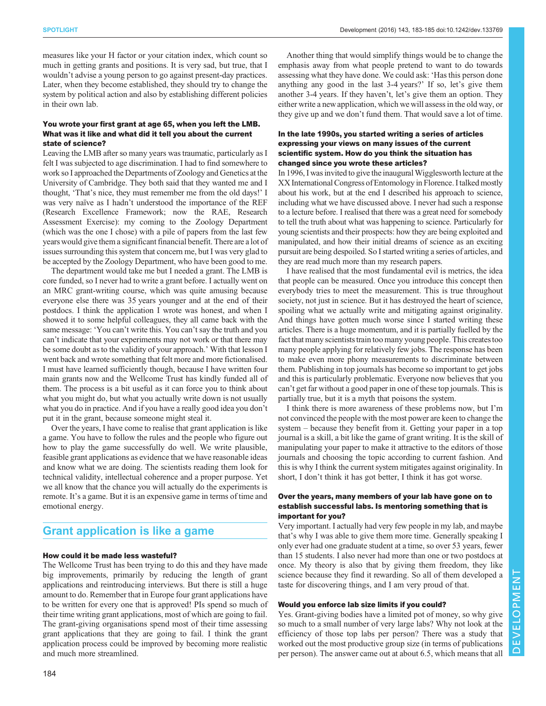measures like your H factor or your citation index, which count so much in getting grants and positions. It is very sad, but true, that I wouldn't advise a young person to go against present-day practices. Later, when they become established, they should try to change the system by political action and also by establishing different policies in their own lab.

#### You wrote your first grant at age 65, when you left the LMB. What was it like and what did it tell you about the current state of science?

Leaving the LMB after so many years was traumatic, particularly as I felt I was subjected to age discrimination. I had to find somewhere to work so I approached the Departments of Zoology and Genetics at the University of Cambridge. They both said that they wanted me and I thought, 'That's nice, they must remember me from the old days!' I was very naïve as I hadn't understood the importance of the REF (Research Excellence Framework; now the RAE, Research Assessment Exercise): my coming to the Zoology Department (which was the one I chose) with a pile of papers from the last few years would give them a significant financial benefit. There are a lot of issues surrounding this system that concern me, but I was very glad to be accepted by the Zoology Department, who have been good to me.

The department would take me but I needed a grant. The LMB is core funded, so I never had to write a grant before. I actually went on an MRC grant-writing course, which was quite amusing because everyone else there was 35 years younger and at the end of their postdocs. I think the application I wrote was honest, and when I showed it to some helpful colleagues, they all came back with the same message: 'You can't write this. You can't say the truth and you can't indicate that your experiments may not work or that there may be some doubt as to the validity of your approach.' With that lesson I went back and wrote something that felt more and more fictionalised. I must have learned sufficiently though, because I have written four main grants now and the Wellcome Trust has kindly funded all of them. The process is a bit useful as it can force you to think about what you might do, but what you actually write down is not usually what you do in practice. And if you have a really good idea you don't put it in the grant, because someone might steal it.

Over the years, I have come to realise that grant application is like a game. You have to follow the rules and the people who figure out how to play the game successfully do well. We write plausible, feasible grant applications as evidence that we have reasonable ideas and know what we are doing. The scientists reading them look for technical validity, intellectual coherence and a proper purpose. Yet we all know that the chance you will actually do the experiments is remote. It's a game. But it is an expensive game in terms of time and emotional energy.

### Grant application is like a game

#### How could it be made less wasteful?

The Wellcome Trust has been trying to do this and they have made big improvements, primarily by reducing the length of grant applications and reintroducing interviews. But there is still a huge amount to do. Remember that in Europe four grant applications have to be written for every one that is approved! PIs spend so much of their time writing grant applications, most of which are going to fail. The grant-giving organisations spend most of their time assessing grant applications that they are going to fail. I think the grant application process could be improved by becoming more realistic and much more streamlined.

Another thing that would simplify things would be to change the emphasis away from what people pretend to want to do towards assessing what they have done. We could ask: 'Has this person done anything any good in the last 3-4 years?' If so, let's give them another 3-4 years. If they haven't, let's give them an option. They either write a new application, which we will assess in the old way, or they give up and we don't fund them. That would save a lot of time.

#### In the late 1990s, you started writing a series of articles expressing your views on many issues of the current scientific system. How do you think the situation has changed since you wrote these articles?

In 1996, I was invited to give the inaugural Wigglesworth lecture at the XX International Congress of Entomology in Florence. I talked mostly about his work, but at the end I described his approach to science, including what we have discussed above. I never had such a response to a lecture before. I realised that there was a great need for somebody to tell the truth about what was happening to science. Particularly for young scientists and their prospects: how they are being exploited and manipulated, and how their initial dreams of science as an exciting pursuit are being despoiled. So I started writing a series of articles, and they are read much more than my research papers.

I have realised that the most fundamental evil is metrics, the idea that people can be measured. Once you introduce this concept then everybody tries to meet the measurement. This is true throughout society, not just in science. But it has destroyed the heart of science, spoiling what we actually write and mitigating against originality. And things have gotten much worse since I started writing these articles. There is a huge momentum, and it is partially fuelled by the fact that many scientists train too many young people. This creates too many people applying for relatively few jobs. The response has been to make even more phony measurements to discriminate between them. Publishing in top journals has become so important to get jobs and this is particularly problematic. Everyone now believes that you can't get far without a good paper in one of these top journals. This is partially true, but it is a myth that poisons the system.

I think there is more awareness of these problems now, but I'm not convinced the people with the most power are keen to change the system – because they benefit from it. Getting your paper in a top journal is a skill, a bit like the game of grant writing. It is the skill of manipulating your paper to make it attractive to the editors of those journals and choosing the topic according to current fashion. And this is why I think the current system mitigates against originality. In short, I don't think it has got better, I think it has got worse.

#### Over the years, many members of your lab have gone on to establish successful labs. Is mentoring something that is important for you?

Very important. I actually had very few people in my lab, and maybe that's why I was able to give them more time. Generally speaking I only ever had one graduate student at a time, so over 53 years, fewer than 15 students. I also never had more than one or two postdocs at once. My theory is also that by giving them freedom, they like science because they find it rewarding. So all of them developed a taste for discovering things, and I am very proud of that.

#### Would you enforce lab size limits if you could?

Yes. Grant-giving bodies have a limited pot of money, so why give so much to a small number of very large labs? Why not look at the efficiency of those top labs per person? There was a study that worked out the most productive group size (in terms of publications per person). The answer came out at about 6.5, which means that all